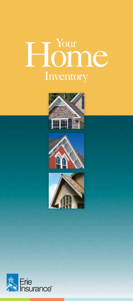# Home Inventory







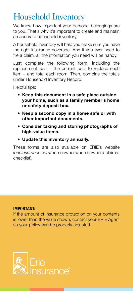## Household Inventory

We know how important your personal belongings are to you. That's why it's important to create and maintain an accurate household inventory.

A household inventory will help you make sure you have the right insurance coverage. And if you ever need to file a claim, all the information you need will be handy.

Just complete the following form, including the replacement cost - the current cost to replace each item – and total each room. Then, combine the totals under Household Inventory Record.

Helpful tips:

- Keep this document in a safe place outside your home, such as a family member's home or safety deposit box.
- Keep a second copy in a home safe or with other important documents.
- Consider taking and storing photographs of high-value items.
- Update this inventory annually.

These forms are also available on ERIE's website (*erieInsurance.com*/homeowners/homeowners-claimschecklist).

#### IMPORTANT:

If the amount of insurance protection on your contents is lower than the value shown, contact your ERIE Agent so your policy can be properly adjusted.

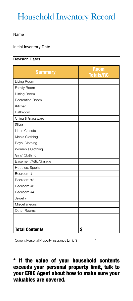# Household Inventory Record

#### Name

#### Initial Inventory Date

#### Revision Dates

| <b>Summary</b>        | <b>Room</b><br><b>Totals/RC</b> |
|-----------------------|---------------------------------|
| Living Room           |                                 |
| Family Room           |                                 |
| Dining Room           |                                 |
| Recreation Room       |                                 |
| Kitchen               |                                 |
| Bathroom              |                                 |
| China & Glassware     |                                 |
| Silver                |                                 |
| <b>Linen Closets</b>  |                                 |
| Men's Clothing        |                                 |
| Boys' Clothing        |                                 |
| Women's Clothing      |                                 |
| Girls' Clothing       |                                 |
| Basement/Attic/Garage |                                 |
| Hobbies, Sports       |                                 |
| Bedroom #1            |                                 |
| Bedroom #2            |                                 |
| Bedroom #3            |                                 |
| Bedroom #4            |                                 |
| Jewelry               |                                 |
| Miscellaneous         |                                 |
| Other Rooms           |                                 |
|                       |                                 |
|                       |                                 |
| <b>Total Contents</b> | \$                              |

Current Personal Property Insurance Limit: \$ \_\_\_\_\_\_\_\_\_\_\*

\* If the value of your household contents exceeds your personal property limit, talk to your ERIE Agent about how to make sure your valuables are covered.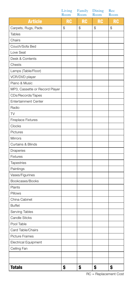|                                | Living<br>Room | Family<br>Room | Dining<br>Room | Rec<br>Room |
|--------------------------------|----------------|----------------|----------------|-------------|
| <b>Article</b>                 | <b>RC</b>      | RC             | <b>RC</b>      | <b>RC</b>   |
| Carpets, Rugs, Pads            | \$             | \$             | \$             | \$          |
| <b>Tables</b>                  |                |                |                |             |
| Chairs                         |                |                |                |             |
| Couch/Sofa Bed                 |                |                |                |             |
| Love Seat                      |                |                |                |             |
| Desk & Contents                |                |                |                |             |
| Chests                         |                |                |                |             |
| Lamps (Table/Floor)            |                |                |                |             |
| VCR/DVD player                 |                |                |                |             |
| Piano & Music                  |                |                |                |             |
| MP3, Cassette or Record Player |                |                |                |             |
| CDs/Records/Tapes              |                |                |                |             |
| <b>Entertainment Center</b>    |                |                |                |             |
| Radio                          |                |                |                |             |
| <b>TV</b>                      |                |                |                |             |
| <b>Fireplace Fixtures</b>      |                |                |                |             |
| Clocks                         |                |                |                |             |
| Pictures                       |                |                |                |             |
| Mirrors                        |                |                |                |             |
| <b>Curtains &amp; Blinds</b>   |                |                |                |             |
| Draperies                      |                |                |                |             |
| Fixtures                       |                |                |                |             |
| <b>Tapestries</b>              |                |                |                |             |
| Paintings                      |                |                |                |             |
| Vases/Figurines                |                |                |                |             |
| Bookcases/Books                |                |                |                |             |
| Plants                         |                |                |                |             |
| Pillows                        |                |                |                |             |
| China Cabinet                  |                |                |                |             |
| <b>Buffet</b>                  |                |                |                |             |
| Serving Tables                 |                |                |                |             |
| Candle Sticks                  |                |                |                |             |
| Pool Table                     |                |                |                |             |
| Card Table/Chairs              |                |                |                |             |
| Picture Frames                 |                |                |                |             |
| Electrical Equipment           |                |                |                |             |
| Ceiling Fan                    |                |                |                |             |
|                                |                |                |                |             |
|                                |                |                |                |             |
| <b>Totals</b>                  | \$             | \$             | \$             | \$          |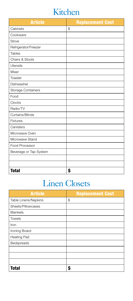## Kitchen

| <b>Article</b>            | <b>Replacement Cost</b> |
|---------------------------|-------------------------|
| Cabinets                  | $\mathcal{S}$           |
| Cookware                  |                         |
| Stove                     |                         |
| Refrigerator/Freezer      |                         |
| Tables                    |                         |
| Chairs & Stools           |                         |
| Utensils                  |                         |
| Mixer                     |                         |
| Toaster                   |                         |
| Dishwasher                |                         |
| <b>Storage Containers</b> |                         |
| Food                      |                         |
| Clocks                    |                         |
| Radio/TV                  |                         |
| Curtains/Blinds           |                         |
| <b>Fixtures</b>           |                         |
| Canisters                 |                         |
| Microwave Oven            |                         |
| Microwave Stand           |                         |
| Food Processor            |                         |
| Beverage or Tap System    |                         |
|                           |                         |
|                           |                         |
| Total                     | \$                      |

# Linen Closets

| <b>Article</b>       | <b>Replacement Cost</b> |
|----------------------|-------------------------|
| Table Linens/Napkins | \$                      |
| Sheets/Pillowcases   |                         |
| <b>Blankets</b>      |                         |
| <b>Towels</b>        |                         |
| Iron                 |                         |
| Ironing Board        |                         |
| Heating Pad          |                         |
| Bedspreads           |                         |
|                      |                         |
|                      |                         |
|                      |                         |
| <b>Total</b>         |                         |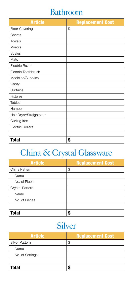#### Bathroom

| <b>Article</b>          | <b>Replacement Cost</b> |
|-------------------------|-------------------------|
| Floor Covering          | \$                      |
| Chests                  |                         |
| <b>Towels</b>           |                         |
| <b>Mirrors</b>          |                         |
| Scales                  |                         |
| Mats                    |                         |
| Electric Razor          |                         |
| Electric Toothbrush     |                         |
| Medicine/Supplies       |                         |
| Vanity                  |                         |
| Curtains                |                         |
| <b>Fixtures</b>         |                         |
| Tables                  |                         |
| Hamper                  |                         |
| Hair Dryer/Straightener |                         |
| Curling Iron            |                         |
| <b>Electric Rollers</b> |                         |
|                         |                         |
| <b>Total</b>            | \$                      |

# China & Crystal Glassware

| <b>Article</b>  | <b>Replacement Cost</b> |
|-----------------|-------------------------|
| China Pattern   | \$                      |
| Name            |                         |
| No. of Pieces   |                         |
| Crystal Pattern |                         |
| Name            |                         |
| No. of Pieces   |                         |
|                 |                         |
| <b>Total</b>    |                         |

## Silver

| <b>Article</b>  | <b>Replacement Cost</b> |
|-----------------|-------------------------|
| Silver Pattern  | D                       |
| Name            |                         |
| No. of Settings |                         |
|                 |                         |
| <b>Total</b>    |                         |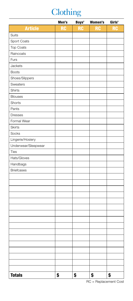# **Clothing**

|                     | Men's     | Boys'     | Women's   | Girls'    |
|---------------------|-----------|-----------|-----------|-----------|
| <b>Article</b>      | <b>RC</b> | <b>RC</b> | <b>RC</b> | <b>RC</b> |
| Suits               |           |           |           |           |
| Sport Coats         |           |           |           |           |
| Top Coats           |           |           |           |           |
| Raincoats           |           |           |           |           |
| Furs                |           |           |           |           |
| Jackets             |           |           |           |           |
| <b>Boots</b>        |           |           |           |           |
| Shoes/Slippers      |           |           |           |           |
| Sweaters            |           |           |           |           |
| Shirts              |           |           |           |           |
| <b>Blouses</b>      |           |           |           |           |
| Shorts              |           |           |           |           |
| Pants               |           |           |           |           |
| <b>Dresses</b>      |           |           |           |           |
| Formal Wear         |           |           |           |           |
| <b>Skirts</b>       |           |           |           |           |
| Socks               |           |           |           |           |
| Lingerie/Hosiery    |           |           |           |           |
| Underwear/Sleepwear |           |           |           |           |
| Ties                |           |           |           |           |
| Hats/Gloves         |           |           |           |           |
| Handbags            |           |           |           |           |
| <b>Briefcases</b>   |           |           |           |           |
|                     |           |           |           |           |
|                     |           |           |           |           |
|                     |           |           |           |           |
|                     |           |           |           |           |
|                     |           |           |           |           |
|                     |           |           |           |           |
|                     |           |           |           |           |
|                     |           |           |           |           |
|                     |           |           |           |           |
|                     |           |           |           |           |
|                     |           |           |           |           |
|                     |           |           |           |           |
|                     |           |           |           |           |
|                     |           |           |           |           |
|                     |           |           |           |           |
|                     |           |           |           |           |
| <b>Totals</b>       | \$        | \$        | \$        | \$        |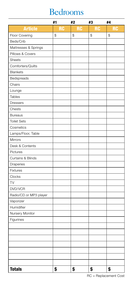## Bedrooms

|                        | #1        | #2        | #3        | #4        |
|------------------------|-----------|-----------|-----------|-----------|
| <b>Article</b>         | <b>RC</b> | <b>RC</b> | <b>RC</b> | <b>RC</b> |
| Floor Covering         | \$        | \$        | \$        | \$        |
| Beds/Crib              |           |           |           |           |
| Mattresses & Springs   |           |           |           |           |
| Pillows & Covers       |           |           |           |           |
| <b>Sheets</b>          |           |           |           |           |
| Comforters/Quilts      |           |           |           |           |
| <b>Blankets</b>        |           |           |           |           |
| Bedspreads             |           |           |           |           |
| Chairs                 |           |           |           |           |
| Lounge                 |           |           |           |           |
| <b>Tables</b>          |           |           |           |           |
| <b>Dressers</b>        |           |           |           |           |
| Chests                 |           |           |           |           |
| <b>Bureaus</b>         |           |           |           |           |
| <b>Toilet Sets</b>     |           |           |           |           |
| Cosmetics              |           |           |           |           |
| Lamps/Floor, Table     |           |           |           |           |
| Mirrors                |           |           |           |           |
| Desk & Contents        |           |           |           |           |
| Pictures               |           |           |           |           |
| Curtains & Blinds      |           |           |           |           |
| Draperies              |           |           |           |           |
| Fixtures               |           |           |           |           |
| Clocks                 |           |           |           |           |
| TV                     |           |           |           |           |
| DVD/VCR                |           |           |           |           |
| Radio/CD or MP3 player |           |           |           |           |
| Vaporizer              |           |           |           |           |
| Humidifier             |           |           |           |           |
| Nursery Monitor        |           |           |           |           |
| Figurines              |           |           |           |           |
|                        |           |           |           |           |
|                        |           |           |           |           |
|                        |           |           |           |           |
|                        |           |           |           |           |
|                        |           |           |           |           |
|                        |           |           |           |           |
|                        |           |           |           |           |
| <b>Totals</b>          | \$        | \$        | \$        | \$        |

RC = Replacement Cost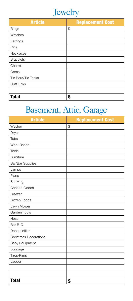

| <b>Article</b>     | <b>Replacement Cost</b> |
|--------------------|-------------------------|
| Rings              | \$                      |
| Watches            |                         |
| Earrings           |                         |
| Pins               |                         |
| Necklaces          |                         |
| <b>Bracelets</b>   |                         |
| Charms             |                         |
| Gems               |                         |
| Tie Bars/Tie Tacks |                         |
| <b>Cuff Links</b>  |                         |
|                    |                         |
| <b>Total</b>       | Ś                       |

# Basement, Attic, Garage

| <b>Article</b>               | <b>Replacement Cost</b> |
|------------------------------|-------------------------|
| Washer                       | \$                      |
| Dryer                        |                         |
| Tubs                         |                         |
| Work Bench                   |                         |
| <b>Tools</b>                 |                         |
| Furniture                    |                         |
| Bar/Bar Supplies             |                         |
| Lamps                        |                         |
| Piano                        |                         |
| Shelving                     |                         |
| Canned Goods                 |                         |
| Freezer                      |                         |
| Frozen Foods                 |                         |
| Lawn Mower                   |                         |
| Garden Tools                 |                         |
| Hose                         |                         |
| Bar-B-Q                      |                         |
| Dehumidifier                 |                         |
| <b>Christmas Decorations</b> |                         |
| <b>Baby Equipment</b>        |                         |
| Luggage                      |                         |
| Tires/Rims                   |                         |
| Ladder                       |                         |
|                              |                         |
|                              |                         |
| <b>Total</b>                 | \$                      |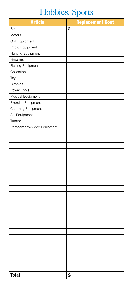# Hobbies, Sports

| <b>Article</b>              | <b>Replacement Cost</b> |
|-----------------------------|-------------------------|
| <b>Boats</b>                | \$                      |
| Motors                      |                         |
| Golf Equipment              |                         |
| Photo Equipment             |                         |
| Hunting Equipment           |                         |
| Firearms                    |                         |
| <b>Fishing Equipment</b>    |                         |
| Collections                 |                         |
| Toys                        |                         |
| <b>Bicycles</b>             |                         |
| Power Tools                 |                         |
| Musical Equipment           |                         |
| Exercise Equipment          |                         |
| Camping Equipment           |                         |
| Ski Equipment               |                         |
| Tractor                     |                         |
| Photography/Video Equipment |                         |
|                             |                         |
|                             |                         |
|                             |                         |
|                             |                         |
|                             |                         |
|                             |                         |
|                             |                         |
|                             |                         |
|                             |                         |
|                             |                         |
|                             |                         |
|                             |                         |
|                             |                         |
|                             |                         |
|                             |                         |
|                             |                         |
|                             |                         |
|                             |                         |
|                             |                         |
|                             |                         |
|                             |                         |
|                             |                         |
|                             |                         |
| <b>Total</b>                | \$                      |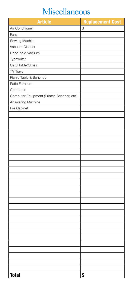## Miscellaneous

| <b>Article</b>                              | <b>Replacement Cost</b> |
|---------------------------------------------|-------------------------|
| Air Conditioner                             | \$                      |
| Fans                                        |                         |
| Sewing Machine                              |                         |
| Vacuum Cleaner                              |                         |
| Hand-held Vacuum                            |                         |
| Typewriter                                  |                         |
| Card Table/Chairs                           |                         |
| TV Trays                                    |                         |
| Picnic Table & Benches                      |                         |
| Patio Furniture                             |                         |
| Computer                                    |                         |
| Computer Equipment (Printer, Scanner, etc.) |                         |
| Answering Machine                           |                         |
| File Cabinet                                |                         |
|                                             |                         |
|                                             |                         |
|                                             |                         |
|                                             |                         |
|                                             |                         |
|                                             |                         |
|                                             |                         |
|                                             |                         |
|                                             |                         |
|                                             |                         |
|                                             |                         |
|                                             |                         |
|                                             |                         |
|                                             |                         |
|                                             |                         |
|                                             |                         |
|                                             |                         |
|                                             |                         |
|                                             |                         |
|                                             |                         |
|                                             |                         |
|                                             |                         |
|                                             |                         |
|                                             |                         |
|                                             |                         |
|                                             |                         |
| <b>Total</b>                                | \$                      |
|                                             |                         |